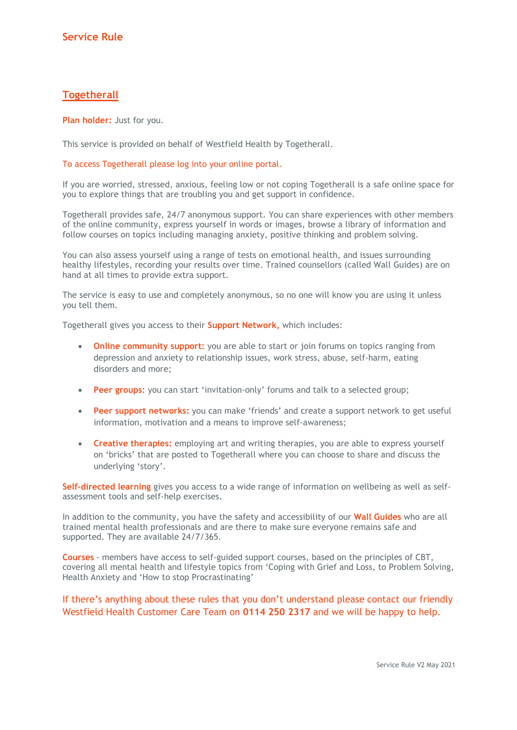## **Togetherall**

Plan holder: Just for you.

This service is provided on behalf of Westfield Health by Togetherall.

## To access Togetherall please log into your online portal.

If you are worried, stressed, anxious, feeling low or not coping Togetherall is a safe online space for you to explore things that are troubling you and get support in confidence.

Togetherall provides safe, 24/7 anonymous support. You can share experiences with other members of the online community, express yourself in words or images, browse a library of information and follow courses on topics including managing anxiety, positive thinking and problem solving.

You can also assess yourself using a range of tests on emotional health, and issues surrounding healthy lifestyles, recording your results over time. Trained counsellors (called Wall Guides) are on hand at all times to provide extra support.

The service is easy to use and completely anonymous, so no one will know you are using it unless you tell them.

Togetherall gives you access to their Support Network, which includes:

- Online community support: you are able to start or join forums on topics ranging from depression and anxiety to relationship issues, work stress, abuse, self-harm, eating disorders and more;
- Peer groups: you can start 'invitation-only' forums and talk to a selected group;
- **Peer support networks:** you can make 'friends' and create a support network to get useful information, motivation and a means to improve self-awareness;
- Creative therapies: employing art and writing therapies, you are able to express yourself on 'bricks' that are posted to Togetherall where you can choose to share and discuss the underlying 'story'.

Self-directed learning gives you access to a wide range of information on wellbeing as well as selfassessment tools and self-help exercises.

In addition to the community, you have the safety and accessibility of our Wall Guides who are all trained mental health professionals and are there to make sure everyone remains safe and supported. They are available 24/7/365.

Courses - members have access to self-guided support courses, based on the principles of CBT, covering all mental health and lifestyle topics from 'Coping with Grief and Loss, to Problem Solving, Health Anxiety and 'How to stop Procrastinating'

## If there's anything about these rules that you don't understand please contact our friendly Westfield Health Customer Care Team on 0114 250 2317 and we will be happy to help.